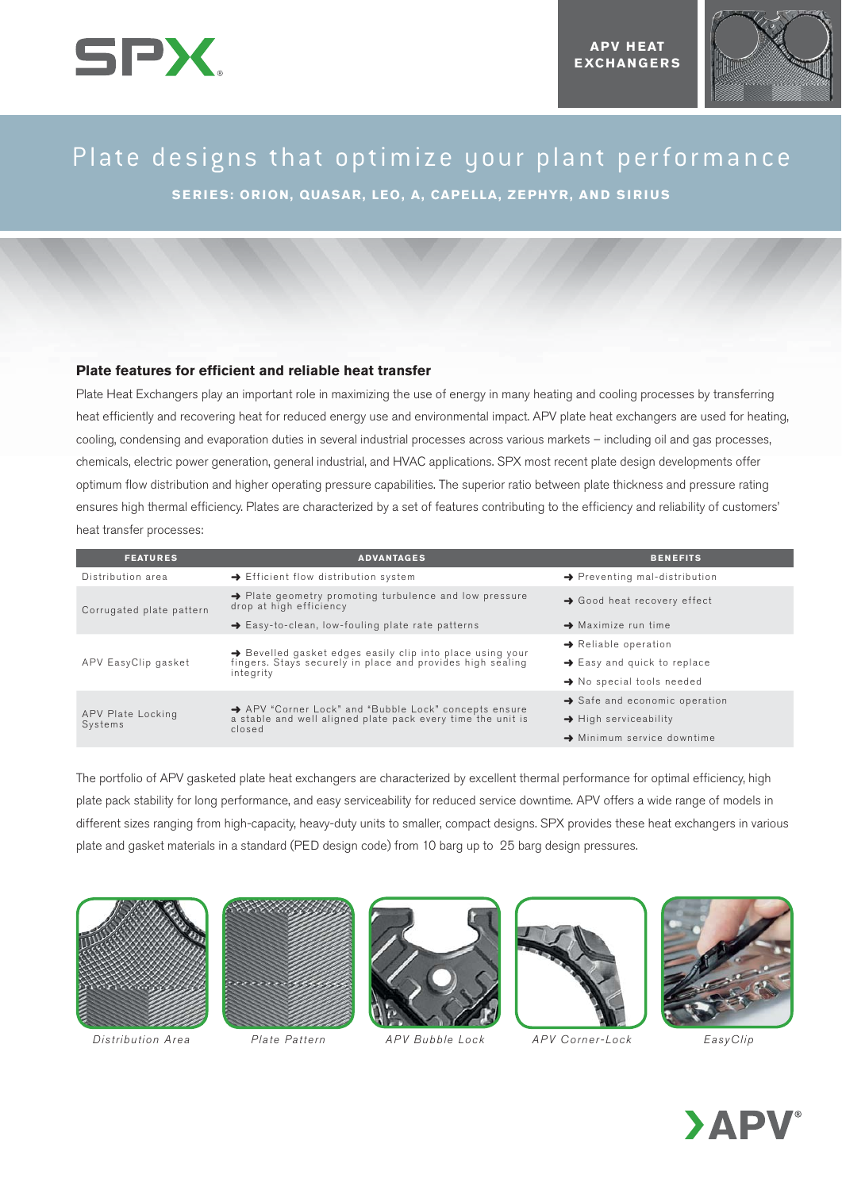



# Plate designs that optimize your plant performance

**SERIES: ORION, QUASAR, LEO, A, CAPELLA, ZEPHYR, AND SIRIUS**

## **Plate features for efficient and reliable heat transfer**

Plate Heat Exchangers play an important role in maximizing the use of energy in many heating and cooling processes by transferring heat efficiently and recovering heat for reduced energy use and environmental impact. APV plate heat exchangers are used for heating, cooling, condensing and evaporation duties in several industrial processes across various markets – including oil and gas processes, chemicals, electric power generation, general industrial, and HVAC applications. SPX most recent plate design developments offer optimum flow distribution and higher operating pressure capabilities. The superior ratio between plate thickness and pressure rating ensures high thermal efficiency. Plates are characterized by a set of features contributing to the efficiency and reliability of customers' heat transfer processes:

| <b>FEATURES</b>              | <b>ADVANTAGES</b>                                                                                                                    | <b>BENEFITS</b>                           |
|------------------------------|--------------------------------------------------------------------------------------------------------------------------------------|-------------------------------------------|
| Distribution area            | → Efficient flow distribution system                                                                                                 | $\rightarrow$ Preventing mal-distribution |
| Corrugated plate pattern     | → Plate geometry promoting turbulence and low pressure<br>drop at high efficiency                                                    | $\rightarrow$ Good heat recovery effect   |
|                              | $\rightarrow$ Easy-to-clean, low-fouling plate rate patterns                                                                         | $\rightarrow$ Maximize run time           |
| APV EasyClip gasket          | → Bevelled gasket edges easily clip into place using your<br>fingers. Stays securely in place and provides high sealing<br>integrity | $\rightarrow$ Reliable operation          |
|                              |                                                                                                                                      | $\rightarrow$ Easy and quick to replace   |
|                              |                                                                                                                                      | $\rightarrow$ No special tools needed     |
| APV Plate Locking<br>Systems | APV "Corner Lock" and "Bubble Lock" concepts ensure<br>a stable and well aligned plate pack every time the unit is<br>closed         | $\rightarrow$ Safe and economic operation |
|                              |                                                                                                                                      | $\rightarrow$ High serviceability         |
|                              |                                                                                                                                      | $\rightarrow$ Minimum service downtime    |

The portfolio of APV gasketed plate heat exchangers are characterized by excellent thermal performance for optimal efficiency, high plate pack stability for long performance, and easy serviceability for reduced service downtime. APV offers a wide range of models in different sizes ranging from high-capacity, heavy-duty units to smaller, compact designs. SPX provides these heat exchangers in various plate and gasket materials in a standard (PED design code) from 10 barg up to 25 barg design pressures.



Distribution Area Plate Pattern APV Bubble Lock APV Corner-Lock EasyClip